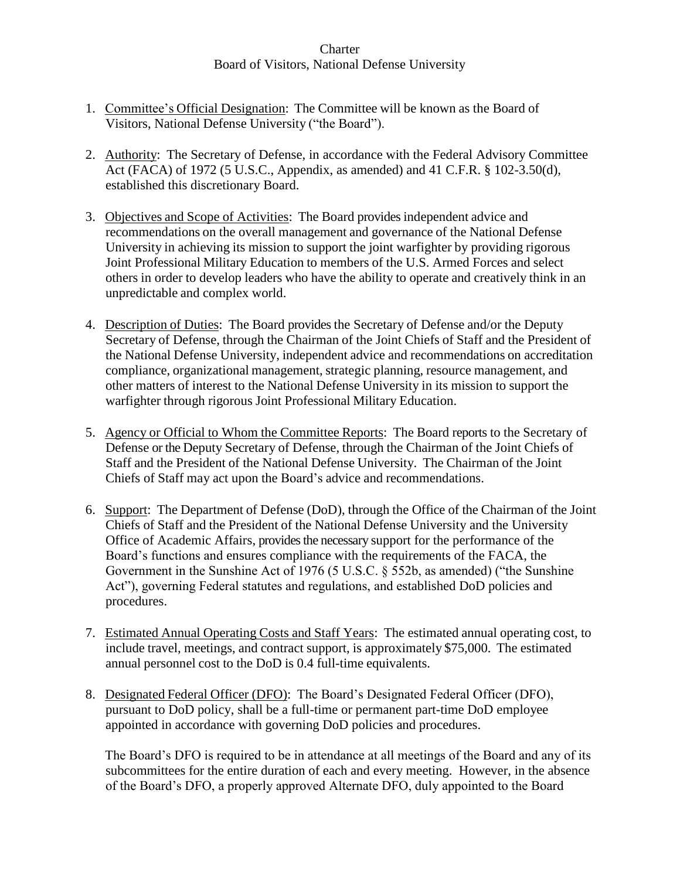## **Charter** Board of Visitors, National Defense University

- 1. Committee's Official Designation: The Committee will be known as the Board of Visitors, National Defense University ("the Board").
- 2. Authority: The Secretary of Defense, in accordance with the Federal Advisory Committee Act (FACA) of 1972 (5 U.S.C., Appendix, as amended) and 41 C.F.R. § 102-3.50(d), established this discretionary Board.
- 3. Objectives and Scope of Activities: The Board provides independent advice and recommendations on the overall management and governance of the National Defense University in achieving its mission to support the joint warfighter by providing rigorous Joint Professional Military Education to members of the U.S. Armed Forces and select others in order to develop leaders who have the ability to operate and creatively think in an unpredictable and complex world.
- 4. Description of Duties: The Board provides the Secretary of Defense and/or the Deputy Secretary of Defense, through the Chairman of the Joint Chiefs of Staff and the President of the National Defense University, independent advice and recommendations on accreditation compliance, organizational management, strategic planning, resource management, and other matters of interest to the National Defense University in its mission to support the warfighter through rigorous Joint Professional Military Education.
- 5. Agency or Official to Whom the Committee Reports: The Board reports to the Secretary of Defense or the Deputy Secretary of Defense, through the Chairman of the Joint Chiefs of Staff and the President of the National Defense University. The Chairman of the Joint Chiefs of Staff may act upon the Board's advice and recommendations.
- 6. Support: The Department of Defense (DoD), through the Office of the Chairman of the Joint Chiefs of Staff and the President of the National Defense University and the University Office of Academic Affairs, provides the necessary support for the performance of the Board's functions and ensures compliance with the requirements of the FACA, the Government in the Sunshine Act of 1976 (5 U.S.C. § 552b, as amended) ("the Sunshine Act"), governing Federal statutes and regulations, and established DoD policies and procedures.
- 7. Estimated Annual Operating Costs and Staff Years: The estimated annual operating cost, to include travel, meetings, and contract support, is approximately \$75,000. The estimated annual personnel cost to the DoD is 0.4 full-time equivalents.
- 8. Designated Federal Officer (DFO): The Board's Designated Federal Officer (DFO), pursuant to DoD policy, shall be a full-time or permanent part-time DoD employee appointed in accordance with governing DoD policies and procedures.

The Board's DFO is required to be in attendance at all meetings of the Board and any of its subcommittees for the entire duration of each and every meeting. However, in the absence of the Board's DFO, a properly approved Alternate DFO, duly appointed to the Board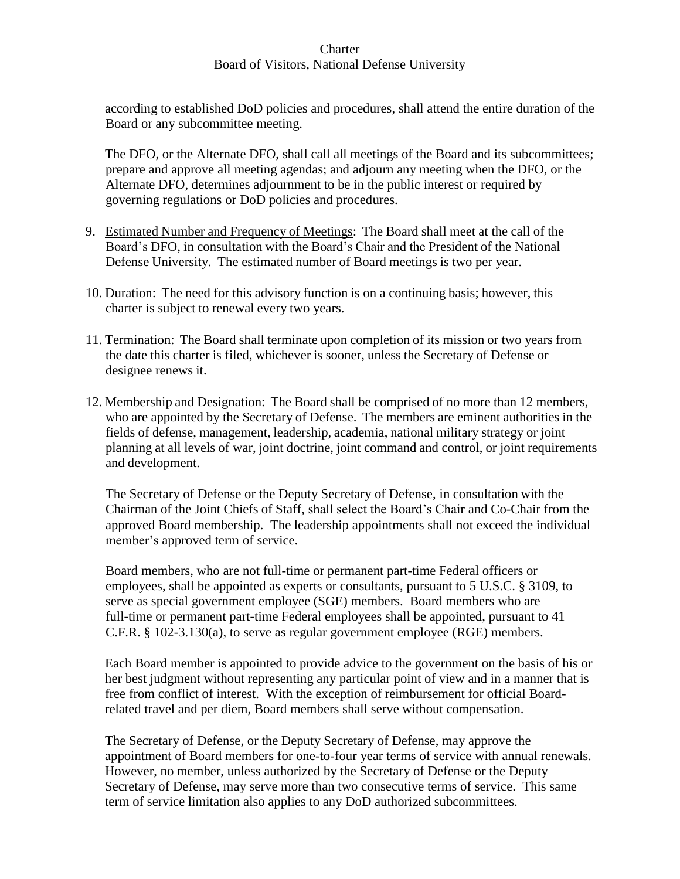## **Charter** Board of Visitors, National Defense University

according to established DoD policies and procedures, shall attend the entire duration of the Board or any subcommittee meeting.

The DFO, or the Alternate DFO, shall call all meetings of the Board and its subcommittees; prepare and approve all meeting agendas; and adjourn any meeting when the DFO, or the Alternate DFO, determines adjournment to be in the public interest or required by governing regulations or DoD policies and procedures.

- 9. Estimated Number and Frequency of Meetings: The Board shall meet at the call of the Board's DFO, in consultation with the Board's Chair and the President of the National Defense University. The estimated number of Board meetings is two per year.
- 10. Duration: The need for this advisory function is on a continuing basis; however, this charter is subject to renewal every two years.
- 11. Termination: The Board shall terminate upon completion of its mission or two years from the date this charter is filed, whichever is sooner, unless the Secretary of Defense or designee renews it.
- 12. Membership and Designation: The Board shall be comprised of no more than 12 members, who are appointed by the Secretary of Defense. The members are eminent authorities in the fields of defense, management, leadership, academia, national military strategy or joint planning at all levels of war, joint doctrine, joint command and control, or joint requirements and development.

The Secretary of Defense or the Deputy Secretary of Defense, in consultation with the Chairman of the Joint Chiefs of Staff, shall select the Board's Chair and Co-Chair from the approved Board membership. The leadership appointments shall not exceed the individual member's approved term of service.

Board members, who are not full-time or permanent part-time Federal officers or employees, shall be appointed as experts or consultants, pursuant to 5 U.S.C. § 3109, to serve as special government employee (SGE) members. Board members who are full-time or permanent part-time Federal employees shall be appointed, pursuant to 41 C.F.R. § 102-3.130(a), to serve as regular government employee (RGE) members.

Each Board member is appointed to provide advice to the government on the basis of his or her best judgment without representing any particular point of view and in a manner that is free from conflict of interest. With the exception of reimbursement for official Boardrelated travel and per diem, Board members shall serve without compensation.

The Secretary of Defense, or the Deputy Secretary of Defense, may approve the appointment of Board members for one-to-four year terms of service with annual renewals. However, no member, unless authorized by the Secretary of Defense or the Deputy Secretary of Defense, may serve more than two consecutive terms of service. This same term of service limitation also applies to any DoD authorized subcommittees.